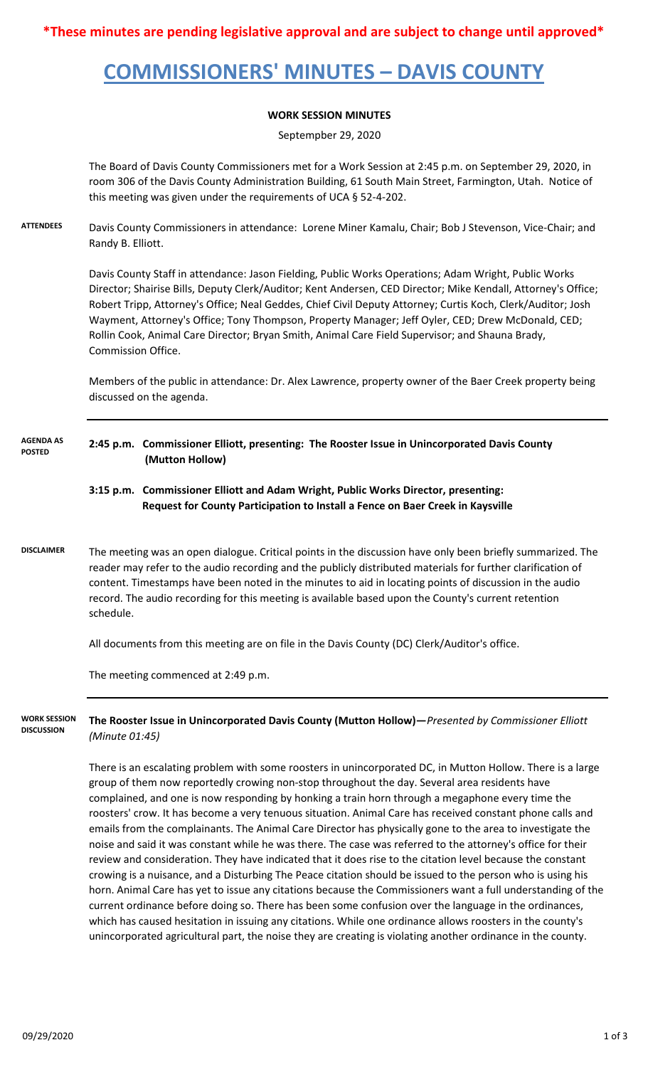# **COMMISSIONERS' MINUTES – DAVIS COUNTY**

### **WORK SESSION MINUTES**

Septempber 29, 2020

The Board of Davis County Commissioners met for a Work Session at 2:45 p.m. on September 29, 2020, in room 306 of the Davis County Administration Building, 61 South Main Street, Farmington, Utah. Notice of this meeting was given under the requirements of UCA § 52-4-202.

**ATTENDEES** Davis County Commissioners in attendance: Lorene Miner Kamalu, Chair; Bob J Stevenson, Vice-Chair; and Randy B. Elliott.

> Davis County Staff in attendance: Jason Fielding, Public Works Operations; Adam Wright, Public Works Director; Shairise Bills, Deputy Clerk/Auditor; Kent Andersen, CED Director; Mike Kendall, Attorney's Office; Robert Tripp, Attorney's Office; Neal Geddes, Chief Civil Deputy Attorney; Curtis Koch, Clerk/Auditor; Josh Wayment, Attorney's Office; Tony Thompson, Property Manager; Jeff Oyler, CED; Drew McDonald, CED; Rollin Cook, Animal Care Director; Bryan Smith, Animal Care Field Supervisor; and Shauna Brady, Commission Office.

> Members of the public in attendance: Dr. Alex Lawrence, property owner of the Baer Creek property being discussed on the agenda.

**2:45 p.m. Commissioner Elliott, presenting: The Rooster Issue in Unincorporated Davis County (Mutton Hollow) AGENDA AS POSTED**

#### **3:15 p.m. Commissioner Elliott and Adam Wright, Public Works Director, presenting: Request for County Participation to Install a Fence on Baer Creek in Kaysville**

**DISCLAIMER** The meeting was an open dialogue. Critical points in the discussion have only been briefly summarized. The reader may refer to the audio recording and the publicly distributed materials for further clarification of content. Timestamps have been noted in the minutes to aid in locating points of discussion in the audio record. The audio recording for this meeting is available based upon the County's current retention schedule.

All documents from this meeting are on file in the Davis County (DC) Clerk/Auditor's office.

The meeting commenced at 2:49 p.m.

**The Rooster Issue in Unincorporated Davis County (Mutton Hollow)—***Presented by Commissioner Elliott (Minute 01:45)* **WORK SESSION DISCUSSION**

> There is an escalating problem with some roosters in unincorporated DC, in Mutton Hollow. There is a large group of them now reportedly crowing non-stop throughout the day. Several area residents have complained, and one is now responding by honking a train horn through a megaphone every time the roosters' crow. It has become a very tenuous situation. Animal Care has received constant phone calls and emails from the complainants. The Animal Care Director has physically gone to the area to investigate the noise and said it was constant while he was there. The case was referred to the attorney's office for their review and consideration. They have indicated that it does rise to the citation level because the constant crowing is a nuisance, and a Disturbing The Peace citation should be issued to the person who is using his horn. Animal Care has yet to issue any citations because the Commissioners want a full understanding of the current ordinance before doing so. There has been some confusion over the language in the ordinances, which has caused hesitation in issuing any citations. While one ordinance allows roosters in the county's unincorporated agricultural part, the noise they are creating is violating another ordinance in the county.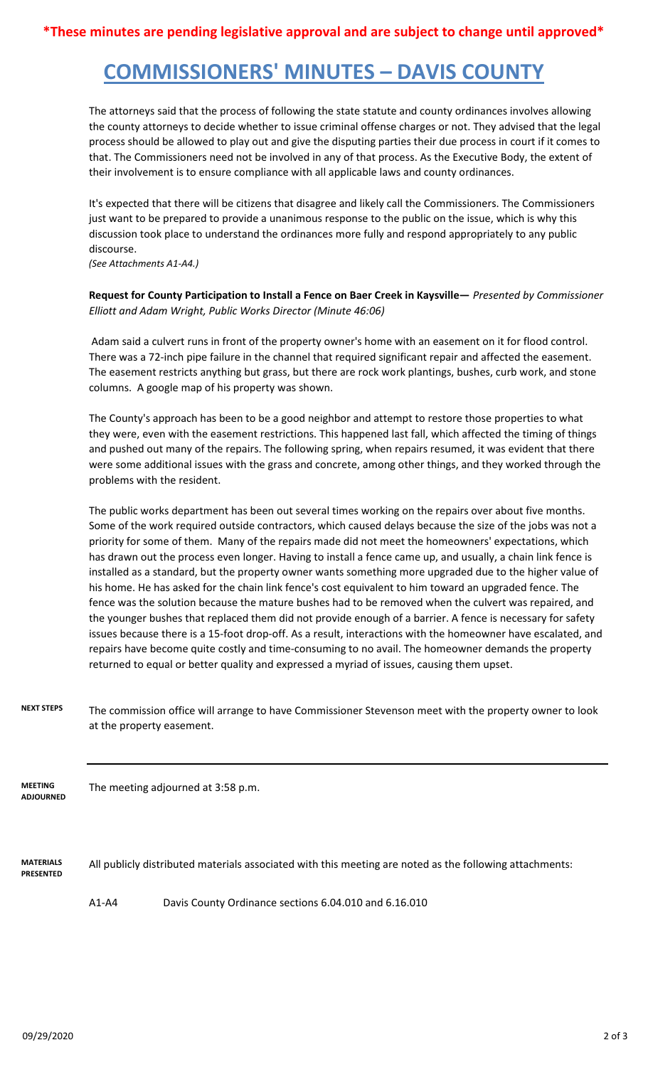## **COMMISSIONERS' MINUTES – DAVIS COUNTY**

The attorneys said that the process of following the state statute and county ordinances involves allowing the county attorneys to decide whether to issue criminal offense charges or not. They advised that the legal process should be allowed to play out and give the disputing parties their due process in court if it comes to that. The Commissioners need not be involved in any of that process. As the Executive Body, the extent of their involvement is to ensure compliance with all applicable laws and county ordinances.

It's expected that there will be citizens that disagree and likely call the Commissioners. The Commissioners just want to be prepared to provide a unanimous response to the public on the issue, which is why this discussion took place to understand the ordinances more fully and respond appropriately to any public discourse.

*(See Attachments A1-A4.)*

**Request for County Participation to Install a Fence on Baer Creek in Kaysville—** *Presented by Commissioner Elliott and Adam Wright, Public Works Director (Minute 46:06)*

 Adam said a culvert runs in front of the property owner's home with an easement on it for flood control. There was a 72-inch pipe failure in the channel that required significant repair and affected the easement. The easement restricts anything but grass, but there are rock work plantings, bushes, curb work, and stone columns. A google map of his property was shown.

The County's approach has been to be a good neighbor and attempt to restore those properties to what they were, even with the easement restrictions. This happened last fall, which affected the timing of things and pushed out many of the repairs. The following spring, when repairs resumed, it was evident that there were some additional issues with the grass and concrete, among other things, and they worked through the problems with the resident.

The public works department has been out several times working on the repairs over about five months. Some of the work required outside contractors, which caused delays because the size of the jobs was not a priority for some of them. Many of the repairs made did not meet the homeowners' expectations, which has drawn out the process even longer. Having to install a fence came up, and usually, a chain link fence is installed as a standard, but the property owner wants something more upgraded due to the higher value of his home. He has asked for the chain link fence's cost equivalent to him toward an upgraded fence. The fence was the solution because the mature bushes had to be removed when the culvert was repaired, and the younger bushes that replaced them did not provide enough of a barrier. A fence is necessary for safety issues because there is a 15-foot drop-off. As a result, interactions with the homeowner have escalated, and repairs have become quite costly and time-consuming to no avail. The homeowner demands the property returned to equal or better quality and expressed a myriad of issues, causing them upset.

**NEXT STEPS** The commission office will arrange to have Commissioner Stevenson meet with the property owner to look at the property easement.

The meeting adjourned at 3:58 p.m. **MEETING ADJOURNED**

**MATERIALS PRESENTED** All publicly distributed materials associated with this meeting are noted as the following attachments:

A1-A4 Davis County Ordinance sections 6.04.010 and 6.16.010